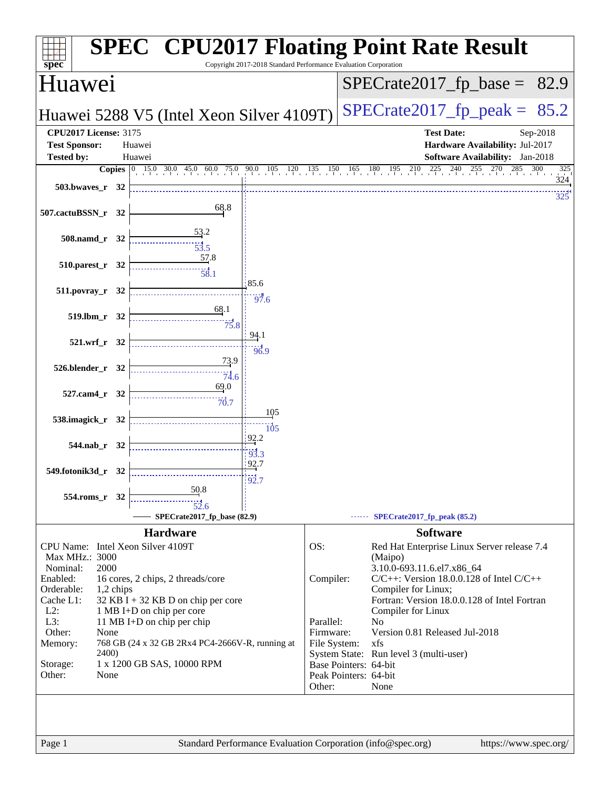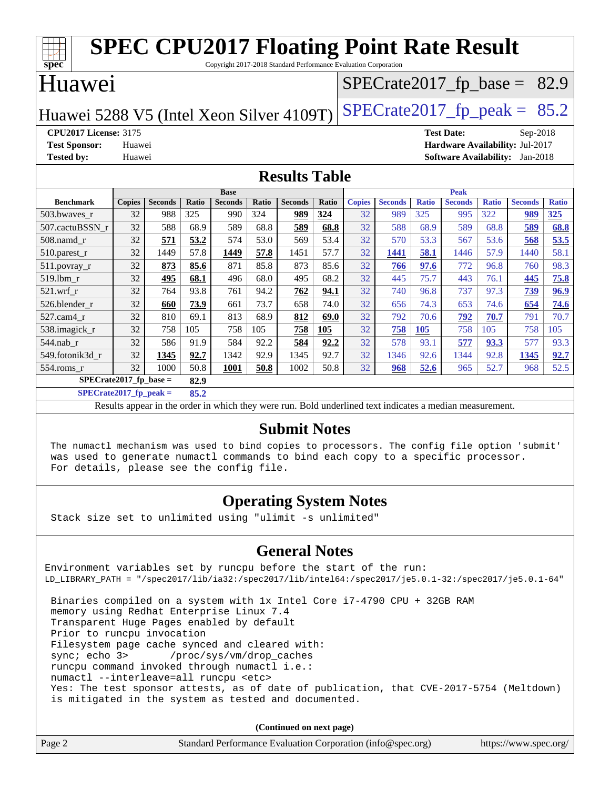| <b>SPEC CPU2017 Floating Point Rate Result</b><br>spec<br>Copyright 2017-2018 Standard Performance Evaluation Corporation |               |                |       |                |              |                |       |                                |                |              |                |              |                |              |
|---------------------------------------------------------------------------------------------------------------------------|---------------|----------------|-------|----------------|--------------|----------------|-------|--------------------------------|----------------|--------------|----------------|--------------|----------------|--------------|
| Huawei                                                                                                                    |               |                |       |                |              |                |       | $SPECTate2017_fp\_base = 82.9$ |                |              |                |              |                |              |
| $SPECTate2017$ _fp_peak = $85.2$<br>Huawei 5288 V5 (Intel Xeon Silver 4109T)                                              |               |                |       |                |              |                |       |                                |                |              |                |              |                |              |
| <b>CPU2017 License: 3175</b><br><b>Test Date:</b><br>Sep-2018                                                             |               |                |       |                |              |                |       |                                |                |              |                |              |                |              |
| Hardware Availability: Jul-2017<br><b>Test Sponsor:</b><br>Huawei                                                         |               |                |       |                |              |                |       |                                |                |              |                |              |                |              |
| <b>Software Availability:</b><br><b>Tested by:</b><br>Huawei<br>$Jan-2018$                                                |               |                |       |                |              |                |       |                                |                |              |                |              |                |              |
| <b>Results Table</b>                                                                                                      |               |                |       |                |              |                |       |                                |                |              |                |              |                |              |
|                                                                                                                           |               |                |       | <b>Base</b>    |              |                |       | <b>Peak</b>                    |                |              |                |              |                |              |
| <b>Benchmark</b>                                                                                                          | <b>Copies</b> | <b>Seconds</b> | Ratio | <b>Seconds</b> | <b>Ratio</b> | <b>Seconds</b> | Ratio | <b>Copies</b>                  | <b>Seconds</b> | <b>Ratio</b> | <b>Seconds</b> | <b>Ratio</b> | <b>Seconds</b> | <b>Ratio</b> |
| 503.bwaves r                                                                                                              | 32            | 988            | 325   | 990            | 324          | 989            | 324   | 32                             | 989            | 325          | 995            | 322          | 989            | 325          |
| 507.cactuBSSN r                                                                                                           | 32            | 588            | 68.9  | 589            | 68.8         | 589            | 68.8  | 32                             | 588            | 68.9         | 589            | 68.8         | 589            | 68.8         |
| 508.namd_r                                                                                                                | 32            | 571            | 53.2  | 574            | 53.0         | 569            | 53.4  | 32                             | 570            | 53.3         | 567            | 53.6         | 568            | 53.5         |
| $510.parest_r$                                                                                                            | 32            | 1449           | 57.8  | 1449           | 57.8         | 1451           | 57.7  | 32                             | 1441           | 58.1         | 1446           | 57.9         | 1440           | 58.1         |
| $511$ . povray r                                                                                                          | 32            | 873            | 85.6  | 871            | 85.8         | 873            | 85.6  | 32                             | 766            | 97.6         | 772            | 96.8         | 760            | 98.3         |
| 519.lbm r                                                                                                                 | 32            | 495            | 68.1  | 496            | 68.0         | 495            | 68.2  | 32                             | 445            | 75.7         | 443            | 76.1         | 445            | 75.8         |
| 521.wrf r                                                                                                                 | 32            | 764            | 93.8  | 761            | 94.2         | 762            | 94.1  | 32                             | 740            | 96.8         | 737            | 97.3         | 739            | 96.9         |
| 526.blender r                                                                                                             | 32            | 660            | 73.9  | 661            | 73.7         | 658            | 74.0  | 32                             | 656            | 74.3         | 653            | 74.6         | 654            | 74.6         |
| 527.cam4 r                                                                                                                | 32            | 810            | 69.1  | 813            | 68.9         | 812            | 69.0  | 32                             | 792            | 70.6         | 792            | 70.7         | 791            | 70.7         |
| 538.imagick_r                                                                                                             | 32            | 758            | 105   | 758            | 105          | 758            | 105   | 32                             | 758            | 105          | 758            | 105          | 758            | 105          |
| 544.nab r                                                                                                                 | 32            | 586            | 91.9  | 584            | 92.2         | 584            | 92.2  | 32                             | 578            | 93.1         | 577            | 93.3         | 577            | 93.3         |
| 549.fotonik3d_r                                                                                                           | 32            | 1345           | 92.7  | 1342           | 92.9         | 1345           | 92.7  | 32                             | 1346           | 92.6         | 1344           | 92.8         | 1345           | 92.7         |
| $554$ .roms r                                                                                                             | 32            | 1000           | 50.8  | 1001           | 50.8         | 1002           | 50.8  | 32                             | 968            | 52.6         | 965            | 52.7         | 968            | 52.5         |
| $SPECrate2017$ fp base =<br>82.9                                                                                          |               |                |       |                |              |                |       |                                |                |              |                |              |                |              |

**[SPECrate2017\\_fp\\_peak =](http://www.spec.org/auto/cpu2017/Docs/result-fields.html#SPECrate2017fppeak) 85.2**

Results appear in the [order in which they were run.](http://www.spec.org/auto/cpu2017/Docs/result-fields.html#RunOrder) Bold underlined text [indicates a median measurement.](http://www.spec.org/auto/cpu2017/Docs/result-fields.html#Median)

#### **[Submit Notes](http://www.spec.org/auto/cpu2017/Docs/result-fields.html#SubmitNotes)**

 The numactl mechanism was used to bind copies to processors. The config file option 'submit' was used to generate numactl commands to bind each copy to a specific processor. For details, please see the config file.

### **[Operating System Notes](http://www.spec.org/auto/cpu2017/Docs/result-fields.html#OperatingSystemNotes)**

Stack size set to unlimited using "ulimit -s unlimited"

### **[General Notes](http://www.spec.org/auto/cpu2017/Docs/result-fields.html#GeneralNotes)**

Environment variables set by runcpu before the start of the run: LD\_LIBRARY\_PATH = "/spec2017/lib/ia32:/spec2017/lib/intel64:/spec2017/je5.0.1-32:/spec2017/je5.0.1-64" Binaries compiled on a system with 1x Intel Core i7-4790 CPU + 32GB RAM memory using Redhat Enterprise Linux 7.4 Transparent Huge Pages enabled by default Prior to runcpu invocation

Filesystem page cache synced and cleared with:

 sync; echo 3> /proc/sys/vm/drop\_caches runcpu command invoked through numactl i.e.:

numactl --interleave=all runcpu <etc>

 Yes: The test sponsor attests, as of date of publication, that CVE-2017-5754 (Meltdown) is mitigated in the system as tested and documented.

**(Continued on next page)**

| Page 2<br>Standard Performance Evaluation Corporation (info@spec.org) | https://www.spec.org/ |
|-----------------------------------------------------------------------|-----------------------|
|-----------------------------------------------------------------------|-----------------------|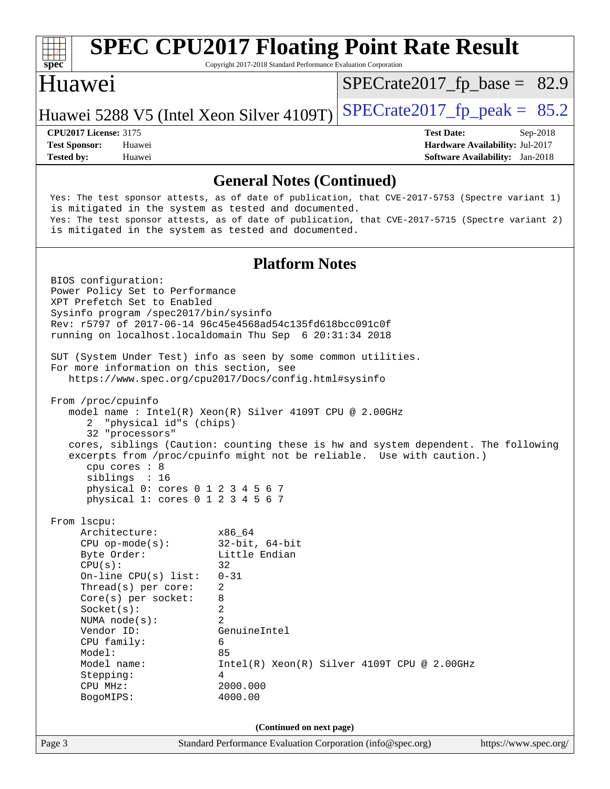

**(Continued on next page)**

BogoMIPS: 4000.00

Page 3 Standard Performance Evaluation Corporation [\(info@spec.org\)](mailto:info@spec.org) <https://www.spec.org/>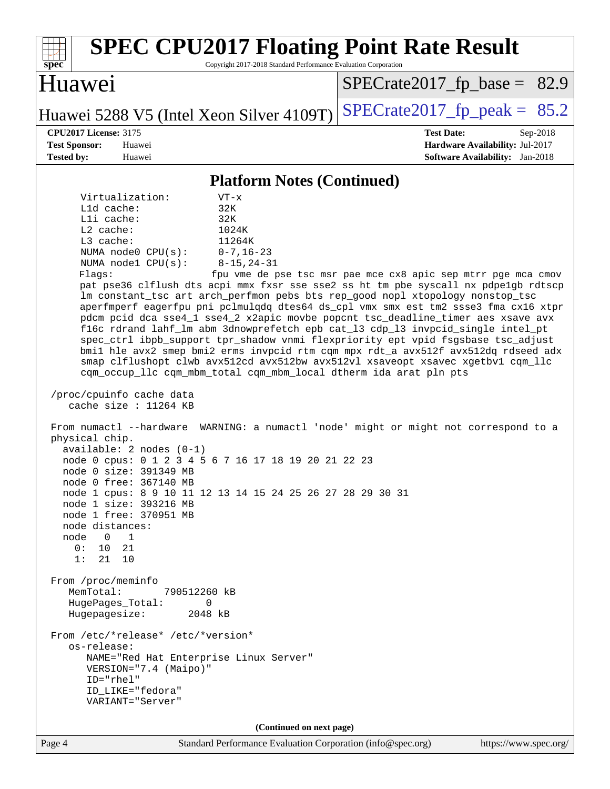| <b>SPEC CPU2017 Floating Point Rate Result</b><br>Copyright 2017-2018 Standard Performance Evaluation Corporation<br>spec <sup>®</sup>                                                                                                                                                                                                                                                                                                                                                                                                                                                                                                                                                                                                                                                                                                                                                                                                                                                                                                                                                                                                                                                                                                                                                                                                                                                                                                                                                                                                                                                                                                                                                                                                                                                                                                                                                          |                                                                                                            |  |  |  |  |  |  |
|-------------------------------------------------------------------------------------------------------------------------------------------------------------------------------------------------------------------------------------------------------------------------------------------------------------------------------------------------------------------------------------------------------------------------------------------------------------------------------------------------------------------------------------------------------------------------------------------------------------------------------------------------------------------------------------------------------------------------------------------------------------------------------------------------------------------------------------------------------------------------------------------------------------------------------------------------------------------------------------------------------------------------------------------------------------------------------------------------------------------------------------------------------------------------------------------------------------------------------------------------------------------------------------------------------------------------------------------------------------------------------------------------------------------------------------------------------------------------------------------------------------------------------------------------------------------------------------------------------------------------------------------------------------------------------------------------------------------------------------------------------------------------------------------------------------------------------------------------------------------------------------------------|------------------------------------------------------------------------------------------------------------|--|--|--|--|--|--|
| Huawei                                                                                                                                                                                                                                                                                                                                                                                                                                                                                                                                                                                                                                                                                                                                                                                                                                                                                                                                                                                                                                                                                                                                                                                                                                                                                                                                                                                                                                                                                                                                                                                                                                                                                                                                                                                                                                                                                          | $SPECrate2017_fp\_base = 82.9$                                                                             |  |  |  |  |  |  |
| Huawei 5288 V5 (Intel Xeon Silver 4109T)                                                                                                                                                                                                                                                                                                                                                                                                                                                                                                                                                                                                                                                                                                                                                                                                                                                                                                                                                                                                                                                                                                                                                                                                                                                                                                                                                                                                                                                                                                                                                                                                                                                                                                                                                                                                                                                        | $SPECrate2017_fp\_peak = 85.2$                                                                             |  |  |  |  |  |  |
| <b>CPU2017 License: 3175</b><br><b>Test Sponsor:</b><br>Huawei<br>Tested by:<br>Huawei                                                                                                                                                                                                                                                                                                                                                                                                                                                                                                                                                                                                                                                                                                                                                                                                                                                                                                                                                                                                                                                                                                                                                                                                                                                                                                                                                                                                                                                                                                                                                                                                                                                                                                                                                                                                          | <b>Test Date:</b><br>Sep-2018<br>Hardware Availability: Jul-2017<br><b>Software Availability:</b> Jan-2018 |  |  |  |  |  |  |
|                                                                                                                                                                                                                                                                                                                                                                                                                                                                                                                                                                                                                                                                                                                                                                                                                                                                                                                                                                                                                                                                                                                                                                                                                                                                                                                                                                                                                                                                                                                                                                                                                                                                                                                                                                                                                                                                                                 |                                                                                                            |  |  |  |  |  |  |
| <b>Platform Notes (Continued)</b><br>Virtualization:<br>$VT - x$<br>L1d cache:<br>32K<br>Lli cache:<br>32K<br>$L2$ cache:<br>1024K<br>L3 cache:<br>11264K<br>NUMA node0 CPU(s):<br>$0 - 7, 16 - 23$<br>NUMA nodel CPU(s):<br>$8 - 15, 24 - 31$<br>Flags:<br>fpu vme de pse tsc msr pae mce cx8 apic sep mtrr pge mca cmov<br>pat pse36 clflush dts acpi mmx fxsr sse sse2 ss ht tm pbe syscall nx pdpelgb rdtscp<br>lm constant_tsc art arch_perfmon pebs bts rep_good nopl xtopology nonstop_tsc<br>aperfmperf eagerfpu pni pclmulqdq dtes64 ds_cpl vmx smx est tm2 ssse3 fma cx16 xtpr<br>pdcm pcid dca sse4_1 sse4_2 x2apic movbe popcnt tsc_deadline_timer aes xsave avx<br>f16c rdrand lahf_lm abm 3dnowprefetch epb cat_13 cdp_13 invpcid_single intel_pt<br>spec_ctrl ibpb_support tpr_shadow vnmi flexpriority ept vpid fsgsbase tsc_adjust<br>bmil hle avx2 smep bmi2 erms invpcid rtm cqm mpx rdt_a avx512f avx512dq rdseed adx<br>smap clflushopt clwb avx512cd avx512bw avx512vl xsaveopt xsavec xgetbvl cqm_llc<br>cqm_occup_llc cqm_mbm_total cqm_mbm_local dtherm ida arat pln pts<br>/proc/cpuinfo cache data<br>cache size : 11264 KB<br>From numactl --hardware WARNING: a numactl 'node' might or might not correspond to a<br>physical chip.<br>$available: 2 nodes (0-1)$<br>node 0 cpus: 0 1 2 3 4 5 6 7 16 17 18 19 20 21 22 23<br>node 0 size: 391349 MB<br>node 0 free: 367140 MB<br>node 1 cpus: 8 9 10 11 12 13 14 15 24 25 26 27 28 29 30 31<br>node 1 size: 393216 MB<br>node 1 free: 370951 MB<br>node distances:<br>node<br>$\Omega$<br>1<br>0 :<br>10<br>21<br>1:<br>21 10<br>From /proc/meminfo<br>MemTotal:<br>790512260 kB<br>HugePages_Total:<br>0<br>Hugepagesize:<br>2048 kB<br>From /etc/*release* /etc/*version*<br>os-release:<br>NAME="Red Hat Enterprise Linux Server"<br>VERSION="7.4 (Maipo)"<br>ID="rhel"<br>ID LIKE="fedora"<br>VARIANT="Server" |                                                                                                            |  |  |  |  |  |  |
| (Continued on next page)<br>Standard Performance Evaluation Corporation (info@spec.org)<br>Page 4                                                                                                                                                                                                                                                                                                                                                                                                                                                                                                                                                                                                                                                                                                                                                                                                                                                                                                                                                                                                                                                                                                                                                                                                                                                                                                                                                                                                                                                                                                                                                                                                                                                                                                                                                                                               | https://www.spec.org/                                                                                      |  |  |  |  |  |  |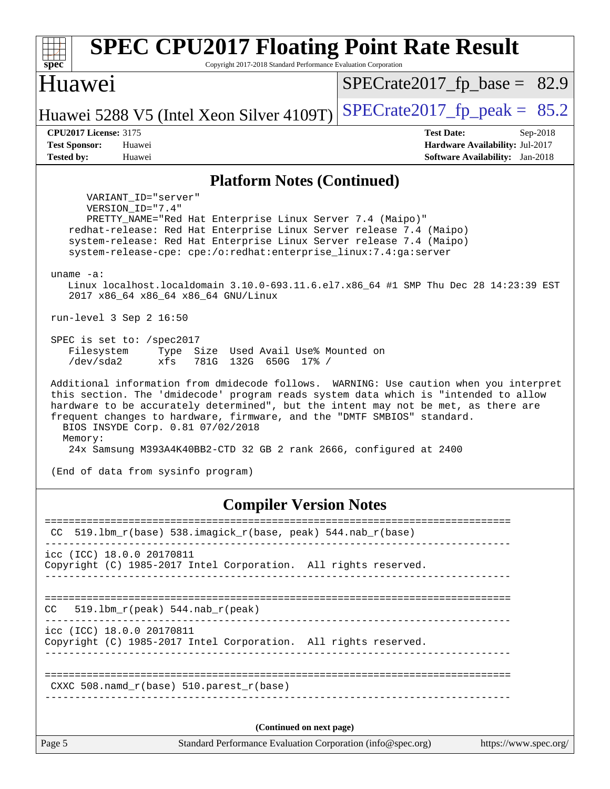| <b>SPEC CPU2017 Floating Point Rate Result</b>                                                                                                                                                                                                                                                                                                                                                                                                                       |                                                                           |  |  |  |  |  |
|----------------------------------------------------------------------------------------------------------------------------------------------------------------------------------------------------------------------------------------------------------------------------------------------------------------------------------------------------------------------------------------------------------------------------------------------------------------------|---------------------------------------------------------------------------|--|--|--|--|--|
| Copyright 2017-2018 Standard Performance Evaluation Corporation<br>$spec^*$                                                                                                                                                                                                                                                                                                                                                                                          |                                                                           |  |  |  |  |  |
| Huawei                                                                                                                                                                                                                                                                                                                                                                                                                                                               | $SPECrate2017_fp\_base = 82.9$                                            |  |  |  |  |  |
| Huawei 5288 V5 (Intel Xeon Silver 4109T)                                                                                                                                                                                                                                                                                                                                                                                                                             | $SPECrate2017_fp\_peak = 85.2$                                            |  |  |  |  |  |
| <b>CPU2017 License: 3175</b>                                                                                                                                                                                                                                                                                                                                                                                                                                         | <b>Test Date:</b><br>Sep-2018                                             |  |  |  |  |  |
| <b>Test Sponsor:</b><br>Huawei<br><b>Tested by:</b><br>Huawei                                                                                                                                                                                                                                                                                                                                                                                                        | Hardware Availability: Jul-2017<br><b>Software Availability:</b> Jan-2018 |  |  |  |  |  |
|                                                                                                                                                                                                                                                                                                                                                                                                                                                                      |                                                                           |  |  |  |  |  |
| <b>Platform Notes (Continued)</b>                                                                                                                                                                                                                                                                                                                                                                                                                                    |                                                                           |  |  |  |  |  |
| VARIANT ID="server"<br>VERSION_ID="7.4"<br>PRETTY_NAME="Red Hat Enterprise Linux Server 7.4 (Maipo)"<br>redhat-release: Red Hat Enterprise Linux Server release 7.4 (Maipo)<br>system-release: Red Hat Enterprise Linux Server release 7.4 (Maipo)<br>system-release-cpe: cpe:/o:redhat:enterprise_linux:7.4:ga:server                                                                                                                                               |                                                                           |  |  |  |  |  |
| $uname -a$ :<br>Linux localhost.localdomain 3.10.0-693.11.6.el7.x86_64 #1 SMP Thu Dec 28 14:23:39 EST<br>2017 x86 64 x86 64 x86 64 GNU/Linux                                                                                                                                                                                                                                                                                                                         |                                                                           |  |  |  |  |  |
| run-level $3$ Sep $2$ 16:50                                                                                                                                                                                                                                                                                                                                                                                                                                          |                                                                           |  |  |  |  |  |
| SPEC is set to: /spec2017<br>Filesystem<br>Size Used Avail Use% Mounted on<br>Type<br>/dev/sda2<br>xfs<br>781G 132G 650G 17% /                                                                                                                                                                                                                                                                                                                                       |                                                                           |  |  |  |  |  |
| Additional information from dmidecode follows. WARNING: Use caution when you interpret<br>this section. The 'dmidecode' program reads system data which is "intended to allow<br>hardware to be accurately determined", but the intent may not be met, as there are<br>frequent changes to hardware, firmware, and the "DMTF SMBIOS" standard.<br>BIOS INSYDE Corp. 0.81 07/02/2018<br>Memory:<br>24x Samsung M393A4K40BB2-CTD 32 GB 2 rank 2666, configured at 2400 |                                                                           |  |  |  |  |  |
| (End of data from sysinfo program)                                                                                                                                                                                                                                                                                                                                                                                                                                   |                                                                           |  |  |  |  |  |
| <b>Compiler Version Notes</b><br>----------------------                                                                                                                                                                                                                                                                                                                                                                                                              |                                                                           |  |  |  |  |  |
| $519.1$ bm_r(base) $538.imagick_r(base, peak)$ 544.nab_r(base)<br>CC.                                                                                                                                                                                                                                                                                                                                                                                                |                                                                           |  |  |  |  |  |
| icc (ICC) 18.0.0 20170811<br>Copyright (C) 1985-2017 Intel Corporation. All rights reserved.                                                                                                                                                                                                                                                                                                                                                                         |                                                                           |  |  |  |  |  |
| $519.1bm_r(peak) 544.nab_r(peak)$<br>CC                                                                                                                                                                                                                                                                                                                                                                                                                              |                                                                           |  |  |  |  |  |

----------------------------------------------------------------------------- icc (ICC) 18.0.0 20170811

Copyright (C) 1985-2017 Intel Corporation. All rights reserved. ------------------------------------------------------------------------------

============================================================================== CXXC 508.namd\_r(base) 510.parest\_r(base) ------------------------------------------------------------------------------

**(Continued on next page)**

Page 5 Standard Performance Evaluation Corporation [\(info@spec.org\)](mailto:info@spec.org) <https://www.spec.org/>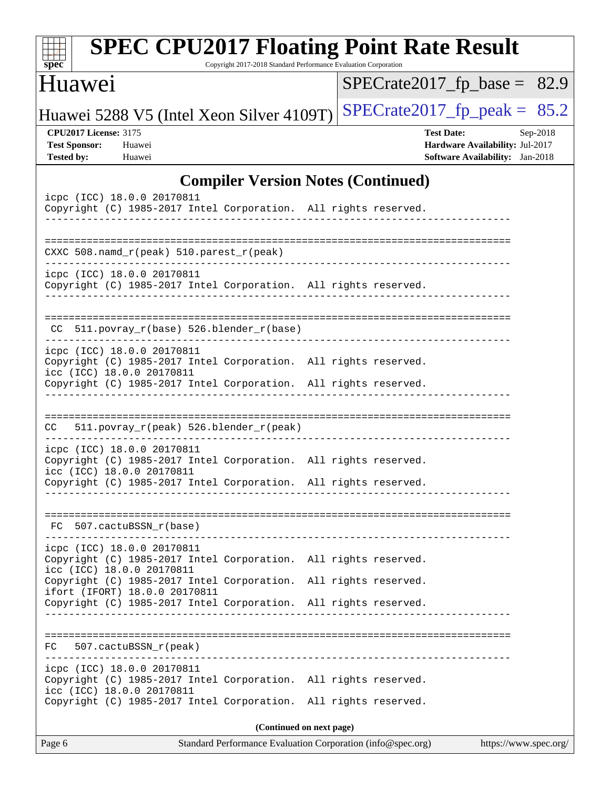| $spec^*$                                                                                      | <b>SPEC CPU2017 Floating Point Rate Result</b><br>Copyright 2017-2018 Standard Performance Evaluation Corporation                  |                   |                                                                                       |  |  |  |  |  |  |
|-----------------------------------------------------------------------------------------------|------------------------------------------------------------------------------------------------------------------------------------|-------------------|---------------------------------------------------------------------------------------|--|--|--|--|--|--|
| Huawei                                                                                        |                                                                                                                                    |                   | $SPECrate2017_fp\_base = 82.9$                                                        |  |  |  |  |  |  |
| Huawei 5288 V5 (Intel Xeon Silver 4109T)                                                      |                                                                                                                                    |                   | $SPECrate2017_fp\_peak = 85.2$                                                        |  |  |  |  |  |  |
| <b>CPU2017 License: 3175</b><br><b>Test Sponsor:</b><br>Huawei<br><b>Tested by:</b><br>Huawei |                                                                                                                                    | <b>Test Date:</b> | Sep-2018<br>Hardware Availability: Jul-2017<br><b>Software Availability:</b> Jan-2018 |  |  |  |  |  |  |
|                                                                                               | <b>Compiler Version Notes (Continued)</b>                                                                                          |                   |                                                                                       |  |  |  |  |  |  |
| icpc (ICC) 18.0.0 20170811                                                                    | Copyright (C) 1985-2017 Intel Corporation. All rights reserved.                                                                    |                   |                                                                                       |  |  |  |  |  |  |
| CXXC 508.namd_r(peak) 510.parest_r(peak)                                                      |                                                                                                                                    |                   |                                                                                       |  |  |  |  |  |  |
| icpc (ICC) 18.0.0 20170811                                                                    | Copyright (C) 1985-2017 Intel Corporation. All rights reserved.                                                                    |                   |                                                                                       |  |  |  |  |  |  |
| CC.                                                                                           | 511.povray_r(base) 526.blender_r(base)                                                                                             |                   |                                                                                       |  |  |  |  |  |  |
| icpc (ICC) 18.0.0 20170811<br>icc (ICC) 18.0.0 20170811                                       | Copyright (C) 1985-2017 Intel Corporation. All rights reserved.<br>Copyright (C) 1985-2017 Intel Corporation. All rights reserved. |                   |                                                                                       |  |  |  |  |  |  |
| CC                                                                                            | 511.povray_r(peak) 526.blender_r(peak)                                                                                             |                   |                                                                                       |  |  |  |  |  |  |
| icpc (ICC) 18.0.0 20170811<br>icc (ICC) 18.0.0 20170811                                       | Copyright (C) 1985-2017 Intel Corporation. All rights reserved.<br>Copyright (C) 1985-2017 Intel Corporation. All rights reserved. |                   |                                                                                       |  |  |  |  |  |  |
| FC 507.cactuBSSN r(base)                                                                      |                                                                                                                                    |                   |                                                                                       |  |  |  |  |  |  |
| icpc (ICC) 18.0.0 20170811<br>icc (ICC) 18.0.0 20170811                                       | Copyright (C) 1985-2017 Intel Corporation. All rights reserved.<br>Copyright (C) 1985-2017 Intel Corporation. All rights reserved. |                   |                                                                                       |  |  |  |  |  |  |
| ifort (IFORT) 18.0.0 20170811                                                                 | Copyright (C) 1985-2017 Intel Corporation. All rights reserved.                                                                    |                   |                                                                                       |  |  |  |  |  |  |
| 507.cactuBSSN_r(peak)<br>FC                                                                   |                                                                                                                                    |                   |                                                                                       |  |  |  |  |  |  |
| icpc (ICC) 18.0.0 20170811<br>icc (ICC) 18.0.0 20170811                                       | Copyright (C) 1985-2017 Intel Corporation. All rights reserved.<br>Copyright (C) 1985-2017 Intel Corporation. All rights reserved. |                   |                                                                                       |  |  |  |  |  |  |
|                                                                                               | (Continued on next page)                                                                                                           |                   |                                                                                       |  |  |  |  |  |  |
| Page 6                                                                                        | Standard Performance Evaluation Corporation (info@spec.org)                                                                        |                   | https://www.spec.org/                                                                 |  |  |  |  |  |  |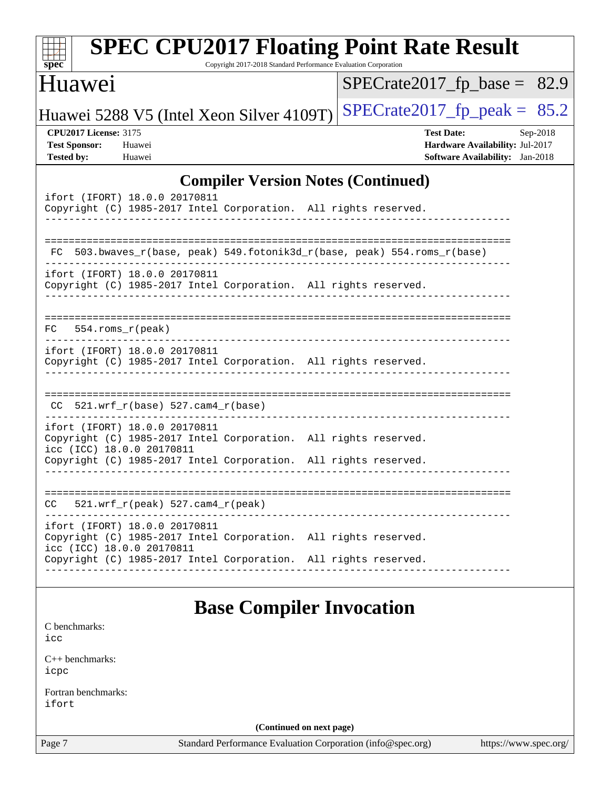| <b>SPEC CPU2017 Floating Point Rate Result</b><br>Copyright 2017-2018 Standard Performance Evaluation Corporation<br>$spec^*$                                                                    |                                                                                                            |  |  |  |  |  |
|--------------------------------------------------------------------------------------------------------------------------------------------------------------------------------------------------|------------------------------------------------------------------------------------------------------------|--|--|--|--|--|
| Huawei                                                                                                                                                                                           | $SPECrate2017_fp\_base = 82.9$                                                                             |  |  |  |  |  |
| Huawei 5288 V5 (Intel Xeon Silver 4109T)                                                                                                                                                         | $SPECrate2017_fp\_peak = 85.2$                                                                             |  |  |  |  |  |
| <b>CPU2017 License: 3175</b><br><b>Test Sponsor:</b><br>Huawei<br><b>Tested by:</b><br>Huawei                                                                                                    | <b>Test Date:</b><br>Sep-2018<br>Hardware Availability: Jul-2017<br><b>Software Availability:</b> Jan-2018 |  |  |  |  |  |
| <b>Compiler Version Notes (Continued)</b>                                                                                                                                                        |                                                                                                            |  |  |  |  |  |
| ifort (IFORT) 18.0.0 20170811<br>Copyright (C) 1985-2017 Intel Corporation. All rights reserved.                                                                                                 |                                                                                                            |  |  |  |  |  |
| 503.bwaves_r(base, peak) 549.fotonik3d_r(base, peak) 554.roms_r(base)<br>FC                                                                                                                      |                                                                                                            |  |  |  |  |  |
| ifort (IFORT) 18.0.0 20170811<br>Copyright (C) 1985-2017 Intel Corporation. All rights reserved.                                                                                                 |                                                                                                            |  |  |  |  |  |
| 554.roms r(peak)<br>FC.                                                                                                                                                                          |                                                                                                            |  |  |  |  |  |
| ifort (IFORT) 18.0.0 20170811<br>Copyright (C) 1985-2017 Intel Corporation. All rights reserved.                                                                                                 |                                                                                                            |  |  |  |  |  |
| $521.wrf_r(base) 527.cam4_r(base)$<br>CC.                                                                                                                                                        |                                                                                                            |  |  |  |  |  |
| ifort (IFORT) 18.0.0 20170811<br>Copyright (C) 1985-2017 Intel Corporation. All rights reserved.<br>icc (ICC) 18.0.0 20170811<br>Copyright (C) 1985-2017 Intel Corporation. All rights reserved. |                                                                                                            |  |  |  |  |  |
| $521.wrf_r(peak) 527.cam4_r(peak)$<br>CC                                                                                                                                                         |                                                                                                            |  |  |  |  |  |
| ifort (IFORT) 18.0.0 20170811<br>Copyright (C) 1985-2017 Intel Corporation. All rights reserved.<br>icc (ICC) 18.0.0 20170811                                                                    |                                                                                                            |  |  |  |  |  |
| Copyright (C) 1985-2017 Intel Corporation. All rights reserved.                                                                                                                                  |                                                                                                            |  |  |  |  |  |
| <b>Base Compiler Invocation</b>                                                                                                                                                                  |                                                                                                            |  |  |  |  |  |
| C benchmarks:<br>icc                                                                                                                                                                             |                                                                                                            |  |  |  |  |  |
| $C_{++}$ benchmarks:<br>icpc                                                                                                                                                                     |                                                                                                            |  |  |  |  |  |
| Fortran benchmarks:<br>ifort                                                                                                                                                                     |                                                                                                            |  |  |  |  |  |
| (Continued on next page)                                                                                                                                                                         |                                                                                                            |  |  |  |  |  |
| Standard Performance Evaluation Corporation (info@spec.org)<br>Page 7                                                                                                                            | https://www.spec.org/                                                                                      |  |  |  |  |  |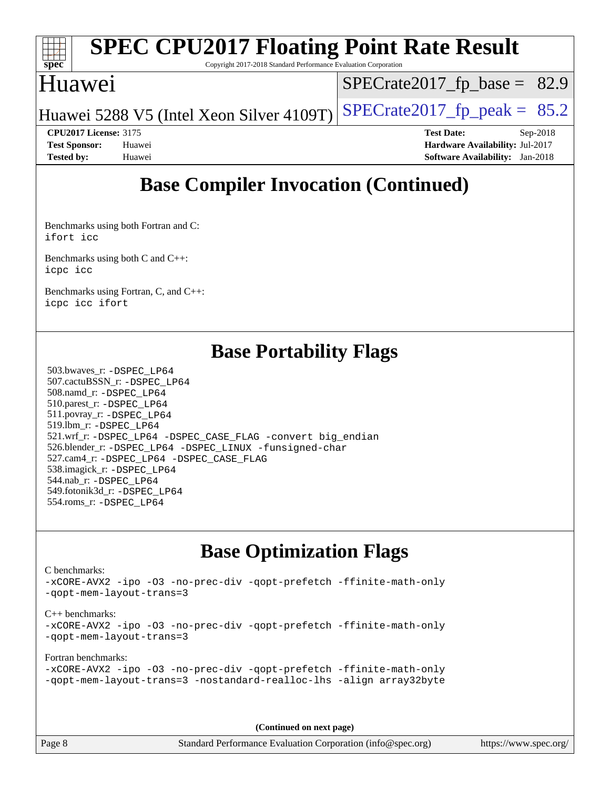

# **[SPEC CPU2017 Floating Point Rate Result](http://www.spec.org/auto/cpu2017/Docs/result-fields.html#SPECCPU2017FloatingPointRateResult)**

Copyright 2017-2018 Standard Performance Evaluation Corporation

## Huawei

[SPECrate2017\\_fp\\_base =](http://www.spec.org/auto/cpu2017/Docs/result-fields.html#SPECrate2017fpbase) 82.9

Huawei 5288 V5 (Intel Xeon Silver 4109T) SPECrate  $2017$  fp peak = 85.2

**[CPU2017 License:](http://www.spec.org/auto/cpu2017/Docs/result-fields.html#CPU2017License)** 3175 **[Test Date:](http://www.spec.org/auto/cpu2017/Docs/result-fields.html#TestDate)** Sep-2018 **[Test Sponsor:](http://www.spec.org/auto/cpu2017/Docs/result-fields.html#TestSponsor)** Huawei **[Hardware Availability:](http://www.spec.org/auto/cpu2017/Docs/result-fields.html#HardwareAvailability)** Jul-2017 **[Tested by:](http://www.spec.org/auto/cpu2017/Docs/result-fields.html#Testedby)** Huawei **[Software Availability:](http://www.spec.org/auto/cpu2017/Docs/result-fields.html#SoftwareAvailability)** Jan-2018

## **[Base Compiler Invocation \(Continued\)](http://www.spec.org/auto/cpu2017/Docs/result-fields.html#BaseCompilerInvocation)**

[Benchmarks using both Fortran and C](http://www.spec.org/auto/cpu2017/Docs/result-fields.html#BenchmarksusingbothFortranandC): [ifort](http://www.spec.org/cpu2017/results/res2018q4/cpu2017-20180909-08834.flags.html#user_CC_FCbase_intel_ifort_18.0_8111460550e3ca792625aed983ce982f94888b8b503583aa7ba2b8303487b4d8a21a13e7191a45c5fd58ff318f48f9492884d4413fa793fd88dd292cad7027ca) [icc](http://www.spec.org/cpu2017/results/res2018q4/cpu2017-20180909-08834.flags.html#user_CC_FCbase_intel_icc_18.0_66fc1ee009f7361af1fbd72ca7dcefbb700085f36577c54f309893dd4ec40d12360134090235512931783d35fd58c0460139e722d5067c5574d8eaf2b3e37e92)

[Benchmarks using both C and C++](http://www.spec.org/auto/cpu2017/Docs/result-fields.html#BenchmarksusingbothCandCXX): [icpc](http://www.spec.org/cpu2017/results/res2018q4/cpu2017-20180909-08834.flags.html#user_CC_CXXbase_intel_icpc_18.0_c510b6838c7f56d33e37e94d029a35b4a7bccf4766a728ee175e80a419847e808290a9b78be685c44ab727ea267ec2f070ec5dc83b407c0218cded6866a35d07) [icc](http://www.spec.org/cpu2017/results/res2018q4/cpu2017-20180909-08834.flags.html#user_CC_CXXbase_intel_icc_18.0_66fc1ee009f7361af1fbd72ca7dcefbb700085f36577c54f309893dd4ec40d12360134090235512931783d35fd58c0460139e722d5067c5574d8eaf2b3e37e92)

[Benchmarks using Fortran, C, and C++:](http://www.spec.org/auto/cpu2017/Docs/result-fields.html#BenchmarksusingFortranCandCXX) [icpc](http://www.spec.org/cpu2017/results/res2018q4/cpu2017-20180909-08834.flags.html#user_CC_CXX_FCbase_intel_icpc_18.0_c510b6838c7f56d33e37e94d029a35b4a7bccf4766a728ee175e80a419847e808290a9b78be685c44ab727ea267ec2f070ec5dc83b407c0218cded6866a35d07) [icc](http://www.spec.org/cpu2017/results/res2018q4/cpu2017-20180909-08834.flags.html#user_CC_CXX_FCbase_intel_icc_18.0_66fc1ee009f7361af1fbd72ca7dcefbb700085f36577c54f309893dd4ec40d12360134090235512931783d35fd58c0460139e722d5067c5574d8eaf2b3e37e92) [ifort](http://www.spec.org/cpu2017/results/res2018q4/cpu2017-20180909-08834.flags.html#user_CC_CXX_FCbase_intel_ifort_18.0_8111460550e3ca792625aed983ce982f94888b8b503583aa7ba2b8303487b4d8a21a13e7191a45c5fd58ff318f48f9492884d4413fa793fd88dd292cad7027ca)

## **[Base Portability Flags](http://www.spec.org/auto/cpu2017/Docs/result-fields.html#BasePortabilityFlags)**

 503.bwaves\_r: [-DSPEC\\_LP64](http://www.spec.org/cpu2017/results/res2018q4/cpu2017-20180909-08834.flags.html#suite_basePORTABILITY503_bwaves_r_DSPEC_LP64) 507.cactuBSSN\_r: [-DSPEC\\_LP64](http://www.spec.org/cpu2017/results/res2018q4/cpu2017-20180909-08834.flags.html#suite_basePORTABILITY507_cactuBSSN_r_DSPEC_LP64) 508.namd\_r: [-DSPEC\\_LP64](http://www.spec.org/cpu2017/results/res2018q4/cpu2017-20180909-08834.flags.html#suite_basePORTABILITY508_namd_r_DSPEC_LP64) 510.parest\_r: [-DSPEC\\_LP64](http://www.spec.org/cpu2017/results/res2018q4/cpu2017-20180909-08834.flags.html#suite_basePORTABILITY510_parest_r_DSPEC_LP64) 511.povray\_r: [-DSPEC\\_LP64](http://www.spec.org/cpu2017/results/res2018q4/cpu2017-20180909-08834.flags.html#suite_basePORTABILITY511_povray_r_DSPEC_LP64) 519.lbm\_r: [-DSPEC\\_LP64](http://www.spec.org/cpu2017/results/res2018q4/cpu2017-20180909-08834.flags.html#suite_basePORTABILITY519_lbm_r_DSPEC_LP64) 521.wrf\_r: [-DSPEC\\_LP64](http://www.spec.org/cpu2017/results/res2018q4/cpu2017-20180909-08834.flags.html#suite_basePORTABILITY521_wrf_r_DSPEC_LP64) [-DSPEC\\_CASE\\_FLAG](http://www.spec.org/cpu2017/results/res2018q4/cpu2017-20180909-08834.flags.html#b521.wrf_r_baseCPORTABILITY_DSPEC_CASE_FLAG) [-convert big\\_endian](http://www.spec.org/cpu2017/results/res2018q4/cpu2017-20180909-08834.flags.html#user_baseFPORTABILITY521_wrf_r_convert_big_endian_c3194028bc08c63ac5d04de18c48ce6d347e4e562e8892b8bdbdc0214820426deb8554edfa529a3fb25a586e65a3d812c835984020483e7e73212c4d31a38223) 526.blender\_r: [-DSPEC\\_LP64](http://www.spec.org/cpu2017/results/res2018q4/cpu2017-20180909-08834.flags.html#suite_basePORTABILITY526_blender_r_DSPEC_LP64) [-DSPEC\\_LINUX](http://www.spec.org/cpu2017/results/res2018q4/cpu2017-20180909-08834.flags.html#b526.blender_r_baseCPORTABILITY_DSPEC_LINUX) [-funsigned-char](http://www.spec.org/cpu2017/results/res2018q4/cpu2017-20180909-08834.flags.html#user_baseCPORTABILITY526_blender_r_force_uchar_40c60f00ab013830e2dd6774aeded3ff59883ba5a1fc5fc14077f794d777847726e2a5858cbc7672e36e1b067e7e5c1d9a74f7176df07886a243d7cc18edfe67) 527.cam4\_r: [-DSPEC\\_LP64](http://www.spec.org/cpu2017/results/res2018q4/cpu2017-20180909-08834.flags.html#suite_basePORTABILITY527_cam4_r_DSPEC_LP64) [-DSPEC\\_CASE\\_FLAG](http://www.spec.org/cpu2017/results/res2018q4/cpu2017-20180909-08834.flags.html#b527.cam4_r_baseCPORTABILITY_DSPEC_CASE_FLAG) 538.imagick\_r: [-DSPEC\\_LP64](http://www.spec.org/cpu2017/results/res2018q4/cpu2017-20180909-08834.flags.html#suite_basePORTABILITY538_imagick_r_DSPEC_LP64) 544.nab\_r: [-DSPEC\\_LP64](http://www.spec.org/cpu2017/results/res2018q4/cpu2017-20180909-08834.flags.html#suite_basePORTABILITY544_nab_r_DSPEC_LP64) 549.fotonik3d\_r: [-DSPEC\\_LP64](http://www.spec.org/cpu2017/results/res2018q4/cpu2017-20180909-08834.flags.html#suite_basePORTABILITY549_fotonik3d_r_DSPEC_LP64) 554.roms\_r: [-DSPEC\\_LP64](http://www.spec.org/cpu2017/results/res2018q4/cpu2017-20180909-08834.flags.html#suite_basePORTABILITY554_roms_r_DSPEC_LP64)

## **[Base Optimization Flags](http://www.spec.org/auto/cpu2017/Docs/result-fields.html#BaseOptimizationFlags)**

[C benchmarks](http://www.spec.org/auto/cpu2017/Docs/result-fields.html#Cbenchmarks):

[-xCORE-AVX2](http://www.spec.org/cpu2017/results/res2018q4/cpu2017-20180909-08834.flags.html#user_CCbase_f-xCORE-AVX2) [-ipo](http://www.spec.org/cpu2017/results/res2018q4/cpu2017-20180909-08834.flags.html#user_CCbase_f-ipo) [-O3](http://www.spec.org/cpu2017/results/res2018q4/cpu2017-20180909-08834.flags.html#user_CCbase_f-O3) [-no-prec-div](http://www.spec.org/cpu2017/results/res2018q4/cpu2017-20180909-08834.flags.html#user_CCbase_f-no-prec-div) [-qopt-prefetch](http://www.spec.org/cpu2017/results/res2018q4/cpu2017-20180909-08834.flags.html#user_CCbase_f-qopt-prefetch) [-ffinite-math-only](http://www.spec.org/cpu2017/results/res2018q4/cpu2017-20180909-08834.flags.html#user_CCbase_f_finite_math_only_cb91587bd2077682c4b38af759c288ed7c732db004271a9512da14a4f8007909a5f1427ecbf1a0fb78ff2a814402c6114ac565ca162485bbcae155b5e4258871) [-qopt-mem-layout-trans=3](http://www.spec.org/cpu2017/results/res2018q4/cpu2017-20180909-08834.flags.html#user_CCbase_f-qopt-mem-layout-trans_de80db37974c74b1f0e20d883f0b675c88c3b01e9d123adea9b28688d64333345fb62bc4a798493513fdb68f60282f9a726aa07f478b2f7113531aecce732043) [C++ benchmarks:](http://www.spec.org/auto/cpu2017/Docs/result-fields.html#CXXbenchmarks) [-xCORE-AVX2](http://www.spec.org/cpu2017/results/res2018q4/cpu2017-20180909-08834.flags.html#user_CXXbase_f-xCORE-AVX2) [-ipo](http://www.spec.org/cpu2017/results/res2018q4/cpu2017-20180909-08834.flags.html#user_CXXbase_f-ipo) [-O3](http://www.spec.org/cpu2017/results/res2018q4/cpu2017-20180909-08834.flags.html#user_CXXbase_f-O3) [-no-prec-div](http://www.spec.org/cpu2017/results/res2018q4/cpu2017-20180909-08834.flags.html#user_CXXbase_f-no-prec-div) [-qopt-prefetch](http://www.spec.org/cpu2017/results/res2018q4/cpu2017-20180909-08834.flags.html#user_CXXbase_f-qopt-prefetch) [-ffinite-math-only](http://www.spec.org/cpu2017/results/res2018q4/cpu2017-20180909-08834.flags.html#user_CXXbase_f_finite_math_only_cb91587bd2077682c4b38af759c288ed7c732db004271a9512da14a4f8007909a5f1427ecbf1a0fb78ff2a814402c6114ac565ca162485bbcae155b5e4258871) [-qopt-mem-layout-trans=3](http://www.spec.org/cpu2017/results/res2018q4/cpu2017-20180909-08834.flags.html#user_CXXbase_f-qopt-mem-layout-trans_de80db37974c74b1f0e20d883f0b675c88c3b01e9d123adea9b28688d64333345fb62bc4a798493513fdb68f60282f9a726aa07f478b2f7113531aecce732043) [Fortran benchmarks](http://www.spec.org/auto/cpu2017/Docs/result-fields.html#Fortranbenchmarks): [-xCORE-AVX2](http://www.spec.org/cpu2017/results/res2018q4/cpu2017-20180909-08834.flags.html#user_FCbase_f-xCORE-AVX2) [-ipo](http://www.spec.org/cpu2017/results/res2018q4/cpu2017-20180909-08834.flags.html#user_FCbase_f-ipo) [-O3](http://www.spec.org/cpu2017/results/res2018q4/cpu2017-20180909-08834.flags.html#user_FCbase_f-O3) [-no-prec-div](http://www.spec.org/cpu2017/results/res2018q4/cpu2017-20180909-08834.flags.html#user_FCbase_f-no-prec-div) [-qopt-prefetch](http://www.spec.org/cpu2017/results/res2018q4/cpu2017-20180909-08834.flags.html#user_FCbase_f-qopt-prefetch) [-ffinite-math-only](http://www.spec.org/cpu2017/results/res2018q4/cpu2017-20180909-08834.flags.html#user_FCbase_f_finite_math_only_cb91587bd2077682c4b38af759c288ed7c732db004271a9512da14a4f8007909a5f1427ecbf1a0fb78ff2a814402c6114ac565ca162485bbcae155b5e4258871) [-qopt-mem-layout-trans=3](http://www.spec.org/cpu2017/results/res2018q4/cpu2017-20180909-08834.flags.html#user_FCbase_f-qopt-mem-layout-trans_de80db37974c74b1f0e20d883f0b675c88c3b01e9d123adea9b28688d64333345fb62bc4a798493513fdb68f60282f9a726aa07f478b2f7113531aecce732043) [-nostandard-realloc-lhs](http://www.spec.org/cpu2017/results/res2018q4/cpu2017-20180909-08834.flags.html#user_FCbase_f_2003_std_realloc_82b4557e90729c0f113870c07e44d33d6f5a304b4f63d4c15d2d0f1fab99f5daaed73bdb9275d9ae411527f28b936061aa8b9c8f2d63842963b95c9dd6426b8a) [-align array32byte](http://www.spec.org/cpu2017/results/res2018q4/cpu2017-20180909-08834.flags.html#user_FCbase_align_array32byte_b982fe038af199962ba9a80c053b8342c548c85b40b8e86eb3cc33dee0d7986a4af373ac2d51c3f7cf710a18d62fdce2948f201cd044323541f22fc0fffc51b6)

**(Continued on next page)**

Page 8 Standard Performance Evaluation Corporation [\(info@spec.org\)](mailto:info@spec.org) <https://www.spec.org/>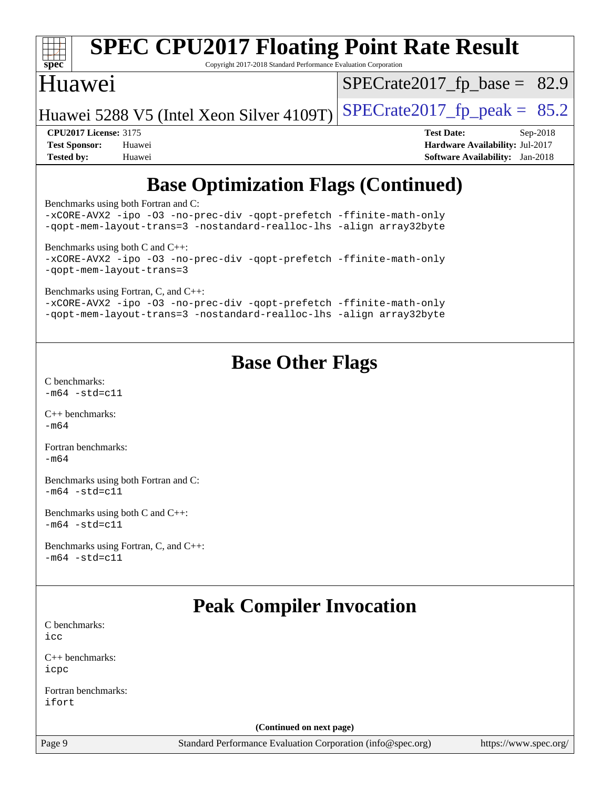| <b>SPEC CPU2017 Floating Point Rate Result</b><br>spec <sup>®</sup><br>Copyright 2017-2018 Standard Performance Evaluation Corporation |                                        |  |  |  |  |  |  |
|----------------------------------------------------------------------------------------------------------------------------------------|----------------------------------------|--|--|--|--|--|--|
| Huawei                                                                                                                                 | $SPECrate2017_fp\_base = 82.9$         |  |  |  |  |  |  |
| Huawei 5288 V5 (Intel Xeon Silver 4109T)                                                                                               | $SPECrate2017_fp\_peak = 85.2$         |  |  |  |  |  |  |
| <b>CPU2017 License: 3175</b>                                                                                                           | <b>Test Date:</b><br>$Sep-2018$        |  |  |  |  |  |  |
| <b>Test Sponsor:</b><br>Huawei                                                                                                         | <b>Hardware Availability: Jul-2017</b> |  |  |  |  |  |  |
| <b>Tested by:</b><br>Huawei                                                                                                            | <b>Software Availability:</b> Jan-2018 |  |  |  |  |  |  |
| <b>Base Optimization Flags (Continued)</b>                                                                                             |                                        |  |  |  |  |  |  |

[Benchmarks using both Fortran and C](http://www.spec.org/auto/cpu2017/Docs/result-fields.html#BenchmarksusingbothFortranandC):

[-xCORE-AVX2](http://www.spec.org/cpu2017/results/res2018q4/cpu2017-20180909-08834.flags.html#user_CC_FCbase_f-xCORE-AVX2) [-ipo](http://www.spec.org/cpu2017/results/res2018q4/cpu2017-20180909-08834.flags.html#user_CC_FCbase_f-ipo) [-O3](http://www.spec.org/cpu2017/results/res2018q4/cpu2017-20180909-08834.flags.html#user_CC_FCbase_f-O3) [-no-prec-div](http://www.spec.org/cpu2017/results/res2018q4/cpu2017-20180909-08834.flags.html#user_CC_FCbase_f-no-prec-div) [-qopt-prefetch](http://www.spec.org/cpu2017/results/res2018q4/cpu2017-20180909-08834.flags.html#user_CC_FCbase_f-qopt-prefetch) [-ffinite-math-only](http://www.spec.org/cpu2017/results/res2018q4/cpu2017-20180909-08834.flags.html#user_CC_FCbase_f_finite_math_only_cb91587bd2077682c4b38af759c288ed7c732db004271a9512da14a4f8007909a5f1427ecbf1a0fb78ff2a814402c6114ac565ca162485bbcae155b5e4258871) [-qopt-mem-layout-trans=3](http://www.spec.org/cpu2017/results/res2018q4/cpu2017-20180909-08834.flags.html#user_CC_FCbase_f-qopt-mem-layout-trans_de80db37974c74b1f0e20d883f0b675c88c3b01e9d123adea9b28688d64333345fb62bc4a798493513fdb68f60282f9a726aa07f478b2f7113531aecce732043) [-nostandard-realloc-lhs](http://www.spec.org/cpu2017/results/res2018q4/cpu2017-20180909-08834.flags.html#user_CC_FCbase_f_2003_std_realloc_82b4557e90729c0f113870c07e44d33d6f5a304b4f63d4c15d2d0f1fab99f5daaed73bdb9275d9ae411527f28b936061aa8b9c8f2d63842963b95c9dd6426b8a) [-align array32byte](http://www.spec.org/cpu2017/results/res2018q4/cpu2017-20180909-08834.flags.html#user_CC_FCbase_align_array32byte_b982fe038af199962ba9a80c053b8342c548c85b40b8e86eb3cc33dee0d7986a4af373ac2d51c3f7cf710a18d62fdce2948f201cd044323541f22fc0fffc51b6) [Benchmarks using both C and C++](http://www.spec.org/auto/cpu2017/Docs/result-fields.html#BenchmarksusingbothCandCXX): [-xCORE-AVX2](http://www.spec.org/cpu2017/results/res2018q4/cpu2017-20180909-08834.flags.html#user_CC_CXXbase_f-xCORE-AVX2) [-ipo](http://www.spec.org/cpu2017/results/res2018q4/cpu2017-20180909-08834.flags.html#user_CC_CXXbase_f-ipo) [-O3](http://www.spec.org/cpu2017/results/res2018q4/cpu2017-20180909-08834.flags.html#user_CC_CXXbase_f-O3) [-no-prec-div](http://www.spec.org/cpu2017/results/res2018q4/cpu2017-20180909-08834.flags.html#user_CC_CXXbase_f-no-prec-div) [-qopt-prefetch](http://www.spec.org/cpu2017/results/res2018q4/cpu2017-20180909-08834.flags.html#user_CC_CXXbase_f-qopt-prefetch) [-ffinite-math-only](http://www.spec.org/cpu2017/results/res2018q4/cpu2017-20180909-08834.flags.html#user_CC_CXXbase_f_finite_math_only_cb91587bd2077682c4b38af759c288ed7c732db004271a9512da14a4f8007909a5f1427ecbf1a0fb78ff2a814402c6114ac565ca162485bbcae155b5e4258871) [-qopt-mem-layout-trans=3](http://www.spec.org/cpu2017/results/res2018q4/cpu2017-20180909-08834.flags.html#user_CC_CXXbase_f-qopt-mem-layout-trans_de80db37974c74b1f0e20d883f0b675c88c3b01e9d123adea9b28688d64333345fb62bc4a798493513fdb68f60282f9a726aa07f478b2f7113531aecce732043) [Benchmarks using Fortran, C, and C++:](http://www.spec.org/auto/cpu2017/Docs/result-fields.html#BenchmarksusingFortranCandCXX) [-xCORE-AVX2](http://www.spec.org/cpu2017/results/res2018q4/cpu2017-20180909-08834.flags.html#user_CC_CXX_FCbase_f-xCORE-AVX2) [-ipo](http://www.spec.org/cpu2017/results/res2018q4/cpu2017-20180909-08834.flags.html#user_CC_CXX_FCbase_f-ipo) [-O3](http://www.spec.org/cpu2017/results/res2018q4/cpu2017-20180909-08834.flags.html#user_CC_CXX_FCbase_f-O3) [-no-prec-div](http://www.spec.org/cpu2017/results/res2018q4/cpu2017-20180909-08834.flags.html#user_CC_CXX_FCbase_f-no-prec-div) [-qopt-prefetch](http://www.spec.org/cpu2017/results/res2018q4/cpu2017-20180909-08834.flags.html#user_CC_CXX_FCbase_f-qopt-prefetch) [-ffinite-math-only](http://www.spec.org/cpu2017/results/res2018q4/cpu2017-20180909-08834.flags.html#user_CC_CXX_FCbase_f_finite_math_only_cb91587bd2077682c4b38af759c288ed7c732db004271a9512da14a4f8007909a5f1427ecbf1a0fb78ff2a814402c6114ac565ca162485bbcae155b5e4258871) [-qopt-mem-layout-trans=3](http://www.spec.org/cpu2017/results/res2018q4/cpu2017-20180909-08834.flags.html#user_CC_CXX_FCbase_f-qopt-mem-layout-trans_de80db37974c74b1f0e20d883f0b675c88c3b01e9d123adea9b28688d64333345fb62bc4a798493513fdb68f60282f9a726aa07f478b2f7113531aecce732043) [-nostandard-realloc-lhs](http://www.spec.org/cpu2017/results/res2018q4/cpu2017-20180909-08834.flags.html#user_CC_CXX_FCbase_f_2003_std_realloc_82b4557e90729c0f113870c07e44d33d6f5a304b4f63d4c15d2d0f1fab99f5daaed73bdb9275d9ae411527f28b936061aa8b9c8f2d63842963b95c9dd6426b8a) [-align array32byte](http://www.spec.org/cpu2017/results/res2018q4/cpu2017-20180909-08834.flags.html#user_CC_CXX_FCbase_align_array32byte_b982fe038af199962ba9a80c053b8342c548c85b40b8e86eb3cc33dee0d7986a4af373ac2d51c3f7cf710a18d62fdce2948f201cd044323541f22fc0fffc51b6)

## **[Base Other Flags](http://www.spec.org/auto/cpu2017/Docs/result-fields.html#BaseOtherFlags)**

[C benchmarks](http://www.spec.org/auto/cpu2017/Docs/result-fields.html#Cbenchmarks):  $-m64 - std = c11$  $-m64 - std = c11$ 

[C++ benchmarks:](http://www.spec.org/auto/cpu2017/Docs/result-fields.html#CXXbenchmarks)  $-m64$ 

[Fortran benchmarks](http://www.spec.org/auto/cpu2017/Docs/result-fields.html#Fortranbenchmarks):  $-m64$ 

[Benchmarks using both Fortran and C](http://www.spec.org/auto/cpu2017/Docs/result-fields.html#BenchmarksusingbothFortranandC):  $-m64 - std= c11$  $-m64 - std= c11$ 

[Benchmarks using both C and C++](http://www.spec.org/auto/cpu2017/Docs/result-fields.html#BenchmarksusingbothCandCXX):  $-m64 - std = c11$  $-m64 - std = c11$ 

[Benchmarks using Fortran, C, and C++:](http://www.spec.org/auto/cpu2017/Docs/result-fields.html#BenchmarksusingFortranCandCXX)  $-m64 - std= c11$  $-m64 - std= c11$ 

## **[Peak Compiler Invocation](http://www.spec.org/auto/cpu2017/Docs/result-fields.html#PeakCompilerInvocation)**

[C benchmarks](http://www.spec.org/auto/cpu2017/Docs/result-fields.html#Cbenchmarks): [icc](http://www.spec.org/cpu2017/results/res2018q4/cpu2017-20180909-08834.flags.html#user_CCpeak_intel_icc_18.0_66fc1ee009f7361af1fbd72ca7dcefbb700085f36577c54f309893dd4ec40d12360134090235512931783d35fd58c0460139e722d5067c5574d8eaf2b3e37e92)

[C++ benchmarks:](http://www.spec.org/auto/cpu2017/Docs/result-fields.html#CXXbenchmarks) [icpc](http://www.spec.org/cpu2017/results/res2018q4/cpu2017-20180909-08834.flags.html#user_CXXpeak_intel_icpc_18.0_c510b6838c7f56d33e37e94d029a35b4a7bccf4766a728ee175e80a419847e808290a9b78be685c44ab727ea267ec2f070ec5dc83b407c0218cded6866a35d07)

[Fortran benchmarks](http://www.spec.org/auto/cpu2017/Docs/result-fields.html#Fortranbenchmarks): [ifort](http://www.spec.org/cpu2017/results/res2018q4/cpu2017-20180909-08834.flags.html#user_FCpeak_intel_ifort_18.0_8111460550e3ca792625aed983ce982f94888b8b503583aa7ba2b8303487b4d8a21a13e7191a45c5fd58ff318f48f9492884d4413fa793fd88dd292cad7027ca)

**(Continued on next page)**

Page 9 Standard Performance Evaluation Corporation [\(info@spec.org\)](mailto:info@spec.org) <https://www.spec.org/>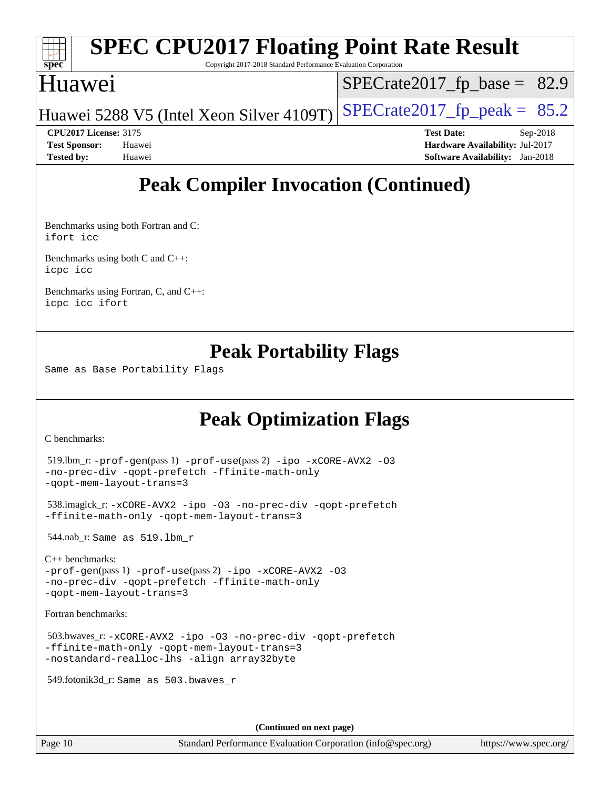

### **[SPEC CPU2017 Floating Point Rate Result](http://www.spec.org/auto/cpu2017/Docs/result-fields.html#SPECCPU2017FloatingPointRateResult)** Copyright 2017-2018 Standard Performance Evaluation Corporation

## Huawei

 $SPECTate2017_fp\_base = 82.9$ 

Huawei 5288 V5 (Intel Xeon Silver 4109T) SPECrate  $2017$  fp peak = 85.2

**[CPU2017 License:](http://www.spec.org/auto/cpu2017/Docs/result-fields.html#CPU2017License)** 3175 **[Test Date:](http://www.spec.org/auto/cpu2017/Docs/result-fields.html#TestDate)** Sep-2018 **[Test Sponsor:](http://www.spec.org/auto/cpu2017/Docs/result-fields.html#TestSponsor)** Huawei **[Hardware Availability:](http://www.spec.org/auto/cpu2017/Docs/result-fields.html#HardwareAvailability)** Jul-2017 **[Tested by:](http://www.spec.org/auto/cpu2017/Docs/result-fields.html#Testedby)** Huawei **[Software Availability:](http://www.spec.org/auto/cpu2017/Docs/result-fields.html#SoftwareAvailability)** Jan-2018

## **[Peak Compiler Invocation \(Continued\)](http://www.spec.org/auto/cpu2017/Docs/result-fields.html#PeakCompilerInvocation)**

[Benchmarks using both Fortran and C](http://www.spec.org/auto/cpu2017/Docs/result-fields.html#BenchmarksusingbothFortranandC): [ifort](http://www.spec.org/cpu2017/results/res2018q4/cpu2017-20180909-08834.flags.html#user_CC_FCpeak_intel_ifort_18.0_8111460550e3ca792625aed983ce982f94888b8b503583aa7ba2b8303487b4d8a21a13e7191a45c5fd58ff318f48f9492884d4413fa793fd88dd292cad7027ca) [icc](http://www.spec.org/cpu2017/results/res2018q4/cpu2017-20180909-08834.flags.html#user_CC_FCpeak_intel_icc_18.0_66fc1ee009f7361af1fbd72ca7dcefbb700085f36577c54f309893dd4ec40d12360134090235512931783d35fd58c0460139e722d5067c5574d8eaf2b3e37e92)

[Benchmarks using both C and C++](http://www.spec.org/auto/cpu2017/Docs/result-fields.html#BenchmarksusingbothCandCXX): [icpc](http://www.spec.org/cpu2017/results/res2018q4/cpu2017-20180909-08834.flags.html#user_CC_CXXpeak_intel_icpc_18.0_c510b6838c7f56d33e37e94d029a35b4a7bccf4766a728ee175e80a419847e808290a9b78be685c44ab727ea267ec2f070ec5dc83b407c0218cded6866a35d07) [icc](http://www.spec.org/cpu2017/results/res2018q4/cpu2017-20180909-08834.flags.html#user_CC_CXXpeak_intel_icc_18.0_66fc1ee009f7361af1fbd72ca7dcefbb700085f36577c54f309893dd4ec40d12360134090235512931783d35fd58c0460139e722d5067c5574d8eaf2b3e37e92)

[Benchmarks using Fortran, C, and C++:](http://www.spec.org/auto/cpu2017/Docs/result-fields.html#BenchmarksusingFortranCandCXX) [icpc](http://www.spec.org/cpu2017/results/res2018q4/cpu2017-20180909-08834.flags.html#user_CC_CXX_FCpeak_intel_icpc_18.0_c510b6838c7f56d33e37e94d029a35b4a7bccf4766a728ee175e80a419847e808290a9b78be685c44ab727ea267ec2f070ec5dc83b407c0218cded6866a35d07) [icc](http://www.spec.org/cpu2017/results/res2018q4/cpu2017-20180909-08834.flags.html#user_CC_CXX_FCpeak_intel_icc_18.0_66fc1ee009f7361af1fbd72ca7dcefbb700085f36577c54f309893dd4ec40d12360134090235512931783d35fd58c0460139e722d5067c5574d8eaf2b3e37e92) [ifort](http://www.spec.org/cpu2017/results/res2018q4/cpu2017-20180909-08834.flags.html#user_CC_CXX_FCpeak_intel_ifort_18.0_8111460550e3ca792625aed983ce982f94888b8b503583aa7ba2b8303487b4d8a21a13e7191a45c5fd58ff318f48f9492884d4413fa793fd88dd292cad7027ca)

## **[Peak Portability Flags](http://www.spec.org/auto/cpu2017/Docs/result-fields.html#PeakPortabilityFlags)**

Same as Base Portability Flags

## **[Peak Optimization Flags](http://www.spec.org/auto/cpu2017/Docs/result-fields.html#PeakOptimizationFlags)**

[C benchmarks](http://www.spec.org/auto/cpu2017/Docs/result-fields.html#Cbenchmarks):

```
 519.lbm_r: -prof-gen(pass 1) -prof-use(pass 2) -ipo -xCORE-AVX2 -O3
-no-prec-div -qopt-prefetch -ffinite-math-only
-qopt-mem-layout-trans=3
```

```
 538.imagick_r: -xCORE-AVX2 -ipo -O3 -no-prec-div -qopt-prefetch
-ffinite-math-only -qopt-mem-layout-trans=3
```
544.nab\_r: Same as 519.lbm\_r

```
C++ benchmarks: 
-prof-gen(pass 1) -prof-use(pass 2) -ipo -xCORE-AVX2 -O3
-no-prec-div -qopt-prefetch -ffinite-math-only
-qopt-mem-layout-trans=3
```
[Fortran benchmarks](http://www.spec.org/auto/cpu2017/Docs/result-fields.html#Fortranbenchmarks):

```
 503.bwaves_r: -xCORE-AVX2 -ipo -O3 -no-prec-div -qopt-prefetch
-ffinite-math-only -qopt-mem-layout-trans=3
-nostandard-realloc-lhs -align array32byte
```
549.fotonik3d\_r: Same as 503.bwaves\_r

**(Continued on next page)**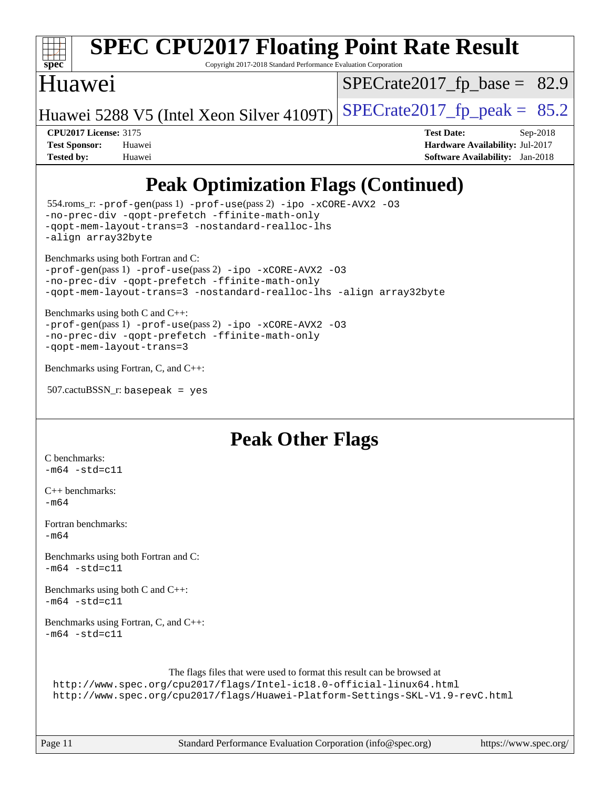

# **[SPEC CPU2017 Floating Point Rate Result](http://www.spec.org/auto/cpu2017/Docs/result-fields.html#SPECCPU2017FloatingPointRateResult)**

Copyright 2017-2018 Standard Performance Evaluation Corporation

## Huawei

 $SPECrate2017_fp\_base = 82.9$ 

Huawei 5288 V5 (Intel Xeon Silver 4109T) SPECrate  $2017$  fp peak = 85.2

**[CPU2017 License:](http://www.spec.org/auto/cpu2017/Docs/result-fields.html#CPU2017License)** 3175 **[Test Date:](http://www.spec.org/auto/cpu2017/Docs/result-fields.html#TestDate)** Sep-2018 **[Test Sponsor:](http://www.spec.org/auto/cpu2017/Docs/result-fields.html#TestSponsor)** Huawei **[Hardware Availability:](http://www.spec.org/auto/cpu2017/Docs/result-fields.html#HardwareAvailability)** Jul-2017 **[Tested by:](http://www.spec.org/auto/cpu2017/Docs/result-fields.html#Testedby)** Huawei **[Software Availability:](http://www.spec.org/auto/cpu2017/Docs/result-fields.html#SoftwareAvailability)** Jan-2018

## **[Peak Optimization Flags \(Continued\)](http://www.spec.org/auto/cpu2017/Docs/result-fields.html#PeakOptimizationFlags)**

```
 554.roms_r: -prof-gen(pass 1) -prof-use(pass 2) -ipo -xCORE-AVX2 -O3
-no-prec-div -qopt-prefetch -ffinite-math-only
-qopt-mem-layout-trans=3 -nostandard-realloc-lhs
-align array32byte
Benchmarks using both Fortran and C: 
-prof-gen(pass 1) -prof-use(pass 2) -ipo -xCORE-AVX2 -O3
-no-prec-div -qopt-prefetch -ffinite-math-only
-qopt-mem-layout-trans=3 -nostandard-realloc-lhs -align array32byte
Benchmarks using both C and C++: 
-prof-gen(pass 1) -prof-use(pass 2) -ipo -xCORE-AVX2 -O3
-no-prec-div -qopt-prefetch -ffinite-math-only
-qopt-mem-layout-trans=3
Benchmarks using Fortran, C, and C++:
```

```
 507.cactuBSSN_r: basepeak = yes
```
## **[Peak Other Flags](http://www.spec.org/auto/cpu2017/Docs/result-fields.html#PeakOtherFlags)**

```
C benchmarks: 
-m64 - std = c11C++ benchmarks: 
-m64
Fortran benchmarks: 
-m64Benchmarks using both Fortran and C: 
-m64 - std = c11Benchmarks using both C and C++: 
-m64 - std= c11Benchmarks using Fortran, C, and C++: 
-m64 - std= c11The flags files that were used to format this result can be browsed at
 http://www.spec.org/cpu2017/flags/Intel-ic18.0-official-linux64.html
 http://www.spec.org/cpu2017/flags/Huawei-Platform-Settings-SKL-V1.9-revC.html
```